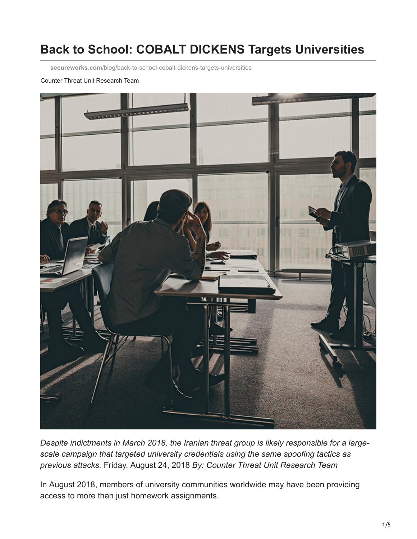## **Back to School: COBALT DICKENS Targets Universities**

**secureworks.com**[/blog/back-to-school-cobalt-dickens-targets-universities](https://www.secureworks.com/blog/back-to-school-cobalt-dickens-targets-universities)

## Counter Threat Unit Research Team



*Despite indictments in March 2018, the Iranian threat group is likely responsible for a largescale campaign that targeted university credentials using the same spoofing tactics as previous attacks.* Friday, August 24, 2018 *By: Counter Threat Unit Research Team*

In August 2018, members of university communities worldwide may have been providing access to more than just homework assignments.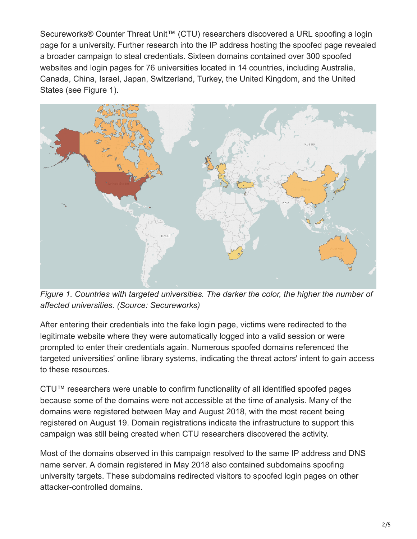Secureworks® Counter Threat Unit™ (CTU) researchers discovered a URL spoofing a login page for a university. Further research into the IP address hosting the spoofed page revealed a broader campaign to steal credentials. Sixteen domains contained over 300 spoofed websites and login pages for 76 universities located in 14 countries, including Australia, Canada, China, Israel, Japan, Switzerland, Turkey, the United Kingdom, and the United States (see Figure 1).



*Figure 1. Countries with targeted universities. The darker the color, the higher the number of affected universities. (Source: Secureworks)*

After entering their credentials into the fake login page, victims were redirected to the legitimate website where they were automatically logged into a valid session or were prompted to enter their credentials again. Numerous spoofed domains referenced the targeted universities' online library systems, indicating the threat actors' intent to gain access to these resources.

CTU™ researchers were unable to confirm functionality of all identified spoofed pages because some of the domains were not accessible at the time of analysis. Many of the domains were registered between May and August 2018, with the most recent being registered on August 19. Domain registrations indicate the infrastructure to support this campaign was still being created when CTU researchers discovered the activity.

Most of the domains observed in this campaign resolved to the same IP address and DNS name server. A domain registered in May 2018 also contained subdomains spoofing university targets. These subdomains redirected visitors to spoofed login pages on other attacker-controlled domains.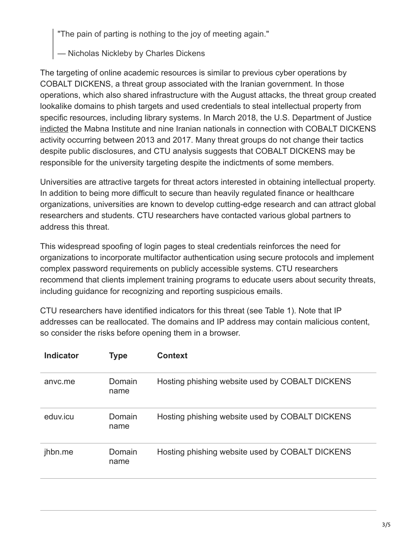"The pain of parting is nothing to the joy of meeting again."

— Nicholas Nickleby by Charles Dickens

The targeting of online academic resources is similar to previous cyber operations by COBALT DICKENS, a threat group associated with the Iranian government. In those operations, which also shared infrastructure with the August attacks, the threat group created lookalike domains to phish targets and used credentials to steal intellectual property from specific resources, including library systems. In March 2018, the U.S. Department of Justice [indicted](https://www.justice.gov/opa/pr/nine-iranians-charged-conducting-massive-cyber-theft-campaign-behalf-islamic-revolutionary) the Mabna Institute and nine Iranian nationals in connection with COBALT DICKENS activity occurring between 2013 and 2017. Many threat groups do not change their tactics despite public disclosures, and CTU analysis suggests that COBALT DICKENS may be responsible for the university targeting despite the indictments of some members.

Universities are attractive targets for threat actors interested in obtaining intellectual property. In addition to being more difficult to secure than heavily regulated finance or healthcare organizations, universities are known to develop cutting-edge research and can attract global researchers and students. CTU researchers have contacted various global partners to address this threat.

This widespread spoofing of login pages to steal credentials reinforces the need for organizations to incorporate multifactor authentication using secure protocols and implement complex password requirements on publicly accessible systems. CTU researchers recommend that clients implement training programs to educate users about security threats, including guidance for recognizing and reporting suspicious emails.

CTU researchers have identified indicators for this threat (see Table 1). Note that IP addresses can be reallocated. The domains and IP address may contain malicious content, so consider the risks before opening them in a browser.

| <b>Indicator</b> | Type           | <b>Context</b>                                  |
|------------------|----------------|-------------------------------------------------|
| anvc.me          | Domain<br>name | Hosting phishing website used by COBALT DICKENS |
| eduv.icu         | Domain<br>name | Hosting phishing website used by COBALT DICKENS |
| jhbn.me          | Domain<br>name | Hosting phishing website used by COBALT DICKENS |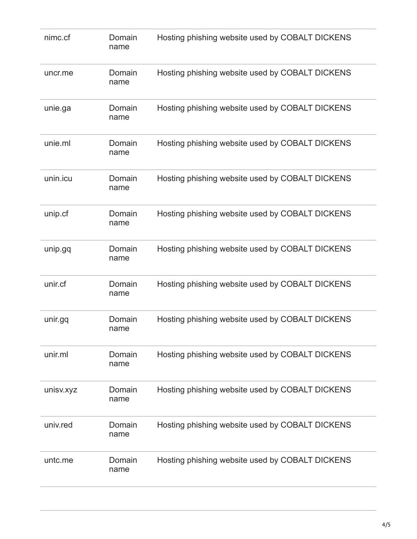| nimc.cf   | Domain<br>name | Hosting phishing website used by COBALT DICKENS |
|-----------|----------------|-------------------------------------------------|
| uncr.me   | Domain<br>name | Hosting phishing website used by COBALT DICKENS |
| unie.ga   | Domain<br>name | Hosting phishing website used by COBALT DICKENS |
| unie.ml   | Domain<br>name | Hosting phishing website used by COBALT DICKENS |
| unin.icu  | Domain<br>name | Hosting phishing website used by COBALT DICKENS |
| unip.cf   | Domain<br>name | Hosting phishing website used by COBALT DICKENS |
| unip.gq   | Domain<br>name | Hosting phishing website used by COBALT DICKENS |
| unir.cf   | Domain<br>name | Hosting phishing website used by COBALT DICKENS |
| unir.gq   | Domain<br>name | Hosting phishing website used by COBALT DICKENS |
| unir.ml   | Domain<br>name | Hosting phishing website used by COBALT DICKENS |
| unisv.xyz | Domain<br>name | Hosting phishing website used by COBALT DICKENS |
| univ.red  | Domain<br>name | Hosting phishing website used by COBALT DICKENS |
| untc.me   | Domain<br>name | Hosting phishing website used by COBALT DICKENS |